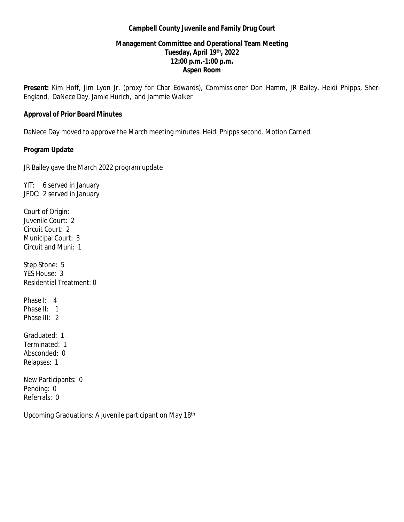#### **Campbell County Juvenile and Family Drug Court**

### **Management Committee and Operational Team Meeting Tuesday, April 19th, 2022 12:00 p.m.-1:00 p.m. Aspen Room**

**Present:** Kim Hoff, Jim Lyon Jr. (proxy for Char Edwards), Commissioner Don Hamm, JR Bailey, Heidi Phipps, Sheri England, DaNece Day, Jamie Hurich, and Jammie Walker

#### **Approval of Prior Board Minutes**

DaNece Day moved to approve the March meeting minutes. Heidi Phipps second. Motion Carried

#### **Program Update**

JR Bailey gave the March 2022 program update

YIT: 6 served in January JFDC: 2 served in January Court of Origin: Juvenile Court: 2 Circuit Court: 2 Municipal Court: 3 Circuit and Muni: 1 Step Stone: 5 YES House: 3 Residential Treatment: 0 Phase I: 4 Phase II: 1 Phase III: 2 Graduated: 1 Terminated: 1

Absconded: 0 Relapses: 1

New Participants: 0 Pending: 0 Referrals: 0

Upcoming Graduations: A juvenile participant on May 18th